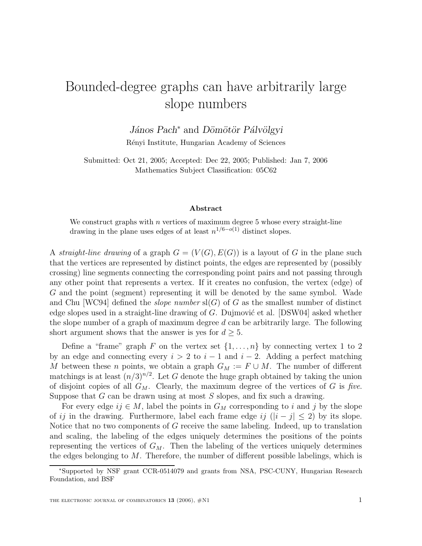## Bounded-degree graphs can have arbitrarily large slope numbers

## *János Pach*<sup>∗</sup> and *Dömötör Pálvölgyi*

R´enyi Institute, Hungarian Academy of Sciences

Submitted: Oct 21, 2005; Accepted: Dec 22, 2005; Published: Jan 7, 2006 Mathematics Subject Classification: 05C62

## **Abstract**

We construct graphs with  $n$  vertices of maximum degree 5 whose every straight-line drawing in the plane uses edges of at least  $n^{1/6-o(1)}$  distinct slopes.

A straight-line drawing of a graph  $G = (V(G), E(G))$  is a layout of G in the plane such that the vertices are represented by distinct points, the edges are represented by (possibly crossing) line segments connecting the corresponding point pairs and not passing through any other point that represents a vertex. If it creates no confusion, the vertex (edge) of G and the point (segment) representing it will be denoted by the same symbol. Wade and Chu [WC94] defined the *slope number*  $sl(G)$  of G as the smallest number of distinct edge slopes used in a straight-line drawing of  $G$ . Dujmović et al. [DSW04] asked whether the slope number of a graph of maximum degree  $d$  can be arbitrarily large. The following short argument shows that the answer is yes for  $d \geq 5$ .

Define a "frame" graph F on the vertex set  $\{1,\ldots,n\}$  by connecting vertex 1 to 2 by an edge and connecting every  $i > 2$  to  $i - 1$  and  $i - 2$ . Adding a perfect matching M between these n points, we obtain a graph  $G_M := F \cup M$ . The number of different matchings is at least  $(n/3)^{n/2}$ . Let G denote the huge graph obtained by taking the union of disjoint copies of all  $G_M$ . Clearly, the maximum degree of the vertices of G is five. Suppose that  $G$  can be drawn using at most  $S$  slopes, and fix such a drawing.

For every edge  $ij \in M$ , label the points in  $G_M$  corresponding to i and j by the slope of ij in the drawing. Furthermore, label each frame edge ij  $(|i - j| \leq 2)$  by its slope. Notice that no two components of G receive the same labeling. Indeed, up to translation and scaling, the labeling of the edges uniquely determines the positions of the points representing the vertices of  $G_M$ . Then the labeling of the vertices uniquely determines the edges belonging to  $M$ . Therefore, the number of different possible labelings, which is

<sup>∗</sup>Supported by NSF grant CCR-0514079 and grants from NSA, PSC-CUNY, Hungarian Research Foundation, and BSF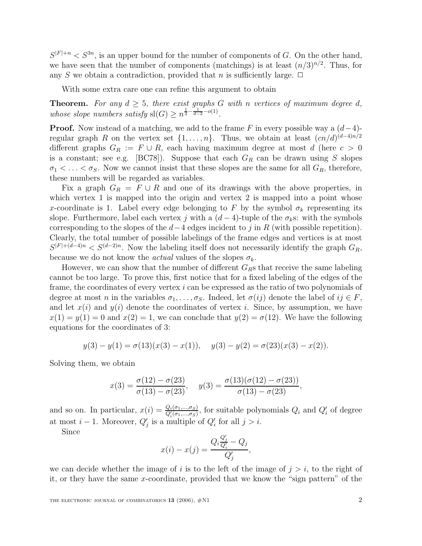$S^{|F|+n} < S^{3n}$ , is an upper bound for the number of components of G. On the other hand, we have seen that the number of components (matchings) is at least  $(n/3)^{n/2}$ . Thus, for any S we obtain a contradiction, provided that n is sufficiently large.  $\Box$ 

With some extra care one can refine this argument to obtain

**Theorem.** For any  $d \geq 5$ , there exist graphs G with n vertices of maximum degree d, whose slope numbers satisfy  $\text{sl}(G) \geq n^{\frac{1}{2} - \frac{1}{d-2} - o(1)}$ .

**Proof.** Now instead of a matching, we add to the frame F in every possible way a  $(d-4)$ regular graph R on the vertex set  $\{1,\ldots,n\}$ . Thus, we obtain at least  $(cn/d)^{(d-4)n/2}$ different graphs  $G_R := F \cup R$ , each having maximum degree at most d (here  $c > 0$ is a constant; see e.g. [BC78]). Suppose that each  $G_R$  can be drawn using S slopes  $\sigma_1 < \ldots < \sigma_S$ . Now we cannot insist that these slopes are the same for all  $G_R$ , therefore, these numbers will be regarded as variables.

Fix a graph  $G_R = F \cup R$  and one of its drawings with the above properties, in which vertex 1 is mapped into the origin and vertex 2 is mapped into a point whose x-coordinate is 1. Label every edge belonging to F by the symbol  $\sigma_k$  representing its slope. Furthermore, label each vertex j with a  $(d-4)$ -tuple of the  $\sigma_k$ s: with the symbols corresponding to the slopes of the  $d-4$  edges incident to j in R (with possible repetition). Clearly, the total number of possible labelings of the frame edges and vertices is at most  $S^{|F|+(d-4)n} < S^{(d-2)n}$ . Now the labeling itself does not necessarily identify the graph  $G_R$ , because we do not know the *actual* values of the slopes  $\sigma_k$ .

However, we can show that the number of different  $G_{R}$ s that receive the same labeling cannot be too large. To prove this, first notice that for a fixed labeling of the edges of the frame, the coordinates of every vertex i can be expressed as the ratio of two polynomials of degree at most n in the variables  $\sigma_1, \ldots, \sigma_S$ . Indeed, let  $\sigma(ij)$  denote the label of  $ij \in F$ , and let  $x(i)$  and  $y(i)$  denote the coordinates of vertex i. Since, by assumption, we have  $x(1) = y(1) = 0$  and  $x(2) = 1$ , we can conclude that  $y(2) = \sigma(12)$ . We have the following equations for the coordinates of 3:

$$
y(3) - y(1) = \sigma(13)(x(3) - x(1)),
$$
  $y(3) - y(2) = \sigma(23)(x(3) - x(2)).$ 

Solving them, we obtain

$$
x(3) = \frac{\sigma(12) - \sigma(23)}{\sigma(13) - \sigma(23)}, \quad y(3) = \frac{\sigma(13)(\sigma(12) - \sigma(23))}{\sigma(13) - \sigma(23)},
$$

and so on. In particular,  $x(i) = \frac{Q_i(\sigma_1,...,\sigma_S)}{Q_i'(\sigma_1,...,\sigma_S)}$ , for suitable polynomials  $Q_i$  and  $Q_i'$  of degree at most  $i-1$ . Moreover,  $Q'_i$  is a multiple of  $Q'_i$  for all  $j>i$ .

Since

$$
x(i) - x(j) = \frac{Q_i \frac{Q'_j}{Q'_i} - Q_j}{Q'_j},
$$

we can decide whether the image of i is to the left of the image of  $j>i$ , to the right of it, or they have the same x-coordinate, provided that we know the "sign pattern" of the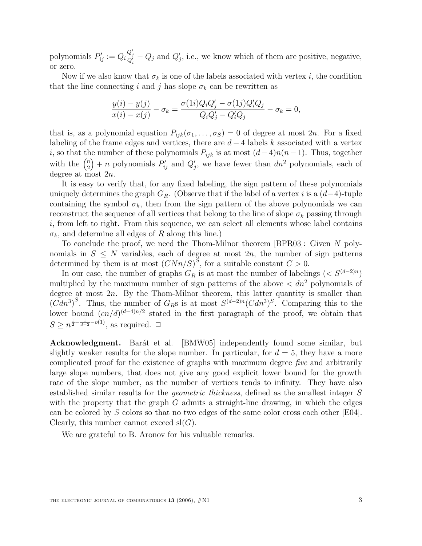polynomials  $P'_{ij} := Q_i \frac{Q'_j}{Q'_i} - Q_j$  and  $Q'_j$ , i.e., we know which of them are positive, negative, or zero.

Now if we also know that  $\sigma_k$  is one of the labels associated with vertex i, the condition that the line connecting i and j has slope  $\sigma_k$  can be rewritten as

$$
\frac{y(i) - y(j)}{x(i) - x(j)} - \sigma_k = \frac{\sigma(1i)Q_iQ'_j - \sigma(1j)Q'_iQ_j}{Q_iQ'_j - Q'_iQ_j} - \sigma_k = 0,
$$

that is, as a polynomial equation  $P_{ijk}(\sigma_1,\ldots,\sigma_S) = 0$  of degree at most  $2n$ . For a fixed labeling of the frame edges and vertices, there are  $d-4$  labels k associated with a vertex i, so that the number of these polynomials  $P_{ijk}$  is at most  $(d-4)n(n-1)$ . Thus, together with the  $\binom{n}{2}$  $\binom{n}{2} + n$  polynomials  $P'_{ij}$  and  $Q'_{j}$ , we have fewer than  $dn^2$  polynomials, each of degree at most 2n.

It is easy to verify that, for any fixed labeling, the sign pattern of these polynomials uniquely determines the graph  $G_R$ . (Observe that if the label of a vertex i is a  $(d-4)$ -tuple containing the symbol  $\sigma_k$ , then from the sign pattern of the above polynomials we can reconstruct the sequence of all vertices that belong to the line of slope  $\sigma_k$  passing through  $i$ , from left to right. From this sequence, we can select all elements whose label contains  $\sigma_k$ , and determine all edges of R along this line.)

To conclude the proof, we need the Thom-Milnor theorem [BPR03]: Given N polynomials in  $S \leq N$  variables, each of degree at most 2n, the number of sign patterns determined by them is at most  $(CNn/S)^S$ , for a suitable constant  $C > 0$ .

In our case, the number of graphs  $G_R$  is at most the number of labelings (<  $S^{(d-2)n}$ ) multiplied by the maximum number of sign patterns of the above  $\langle dn^2 \rangle$  polynomials of degree at most  $2n$ . By the Thom-Milnor theorem, this latter quantity is smaller than  $(Cdn^3)^S$ . Thus, the number of  $G_{RS}$  is at most  $S^{(d-2)n}(Cdn^3)^S$ . Comparing this to the lower bound  $(cn/d)^{(d-4)n/2}$  stated in the first paragraph of the proof, we obtain that  $S \geq n^{\frac{1}{2} - \frac{1}{d-2} - o(1)}$ , as required.  $\Box$ 

**Acknowledgment.** Barát et al. [BMW05] independently found some similar, but slightly weaker results for the slope number. In particular, for  $d = 5$ , they have a more complicated proof for the existence of graphs with maximum degree five and arbitrarily large slope numbers, that does not give any good explicit lower bound for the growth rate of the slope number, as the number of vertices tends to infinity. They have also established similar results for the geometric thickness, defined as the smallest integer S with the property that the graph  $G$  admits a straight-line drawing, in which the edges can be colored by S colors so that no two edges of the same color cross each other [E04]. Clearly, this number cannot exceed  $sl(G)$ .

We are grateful to B. Aronov for his valuable remarks.